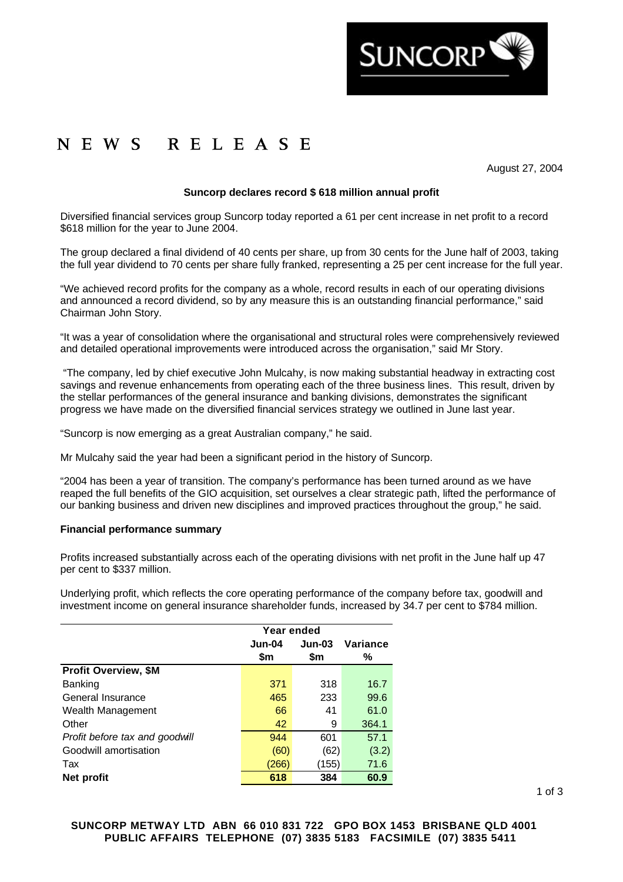

# NEWS RELEASE

August 27, 2004

## **Suncorp declares record \$ 618 million annual profit**

Diversified financial services group Suncorp today reported a 61 per cent increase in net profit to a record \$618 million for the year to June 2004.

The group declared a final dividend of 40 cents per share, up from 30 cents for the June half of 2003, taking the full year dividend to 70 cents per share fully franked, representing a 25 per cent increase for the full year.

"We achieved record profits for the company as a whole, record results in each of our operating divisions and announced a record dividend, so by any measure this is an outstanding financial performance," said Chairman John Story.

"It was a year of consolidation where the organisational and structural roles were comprehensively reviewed and detailed operational improvements were introduced across the organisation," said Mr Story.

 "The company, led by chief executive John Mulcahy, is now making substantial headway in extracting cost savings and revenue enhancements from operating each of the three business lines. This result, driven by the stellar performances of the general insurance and banking divisions, demonstrates the significant progress we have made on the diversified financial services strategy we outlined in June last year.

"Suncorp is now emerging as a great Australian company," he said.

Mr Mulcahy said the year had been a significant period in the history of Suncorp.

"2004 has been a year of transition. The company's performance has been turned around as we have reaped the full benefits of the GIO acquisition, set ourselves a clear strategic path, lifted the performance of our banking business and driven new disciplines and improved practices throughout the group," he said.

#### **Financial performance summary**

Profits increased substantially across each of the operating divisions with net profit in the June half up 47 per cent to \$337 million.

Underlying profit, which reflects the core operating performance of the company before tax, goodwill and investment income on general insurance shareholder funds, increased by 34.7 per cent to \$784 million.

|                                | Year ended |          |          |
|--------------------------------|------------|----------|----------|
|                                | $Jun-04$   | $Jun-03$ | Variance |
|                                | \$m        | \$m      | ℅        |
| <b>Profit Overview, \$M</b>    |            |          |          |
| Banking                        | 371        | 318      | 16.7     |
| General Insurance              | 465        | 233      | 99.6     |
| Wealth Management              | 66         | 41       | 61.0     |
| Other                          | 42         | 9        | 364.1    |
| Profit before tax and goodwill | 944        | 601      | 57.1     |
| Goodwill amortisation          | (60)       | (62)     | (3.2)    |
| Tax                            | (266)      | (155)    | 71.6     |
| Net profit                     | 618        | 384      | 60.9     |

**SUNCORP METWAY LTD ABN 66 010 831 722 GPO BOX 1453 BRISBANE QLD 4001 PUBLIC AFFAIRS TELEPHONE (07) 3835 5183 FACSIMILE (07) 3835 5411**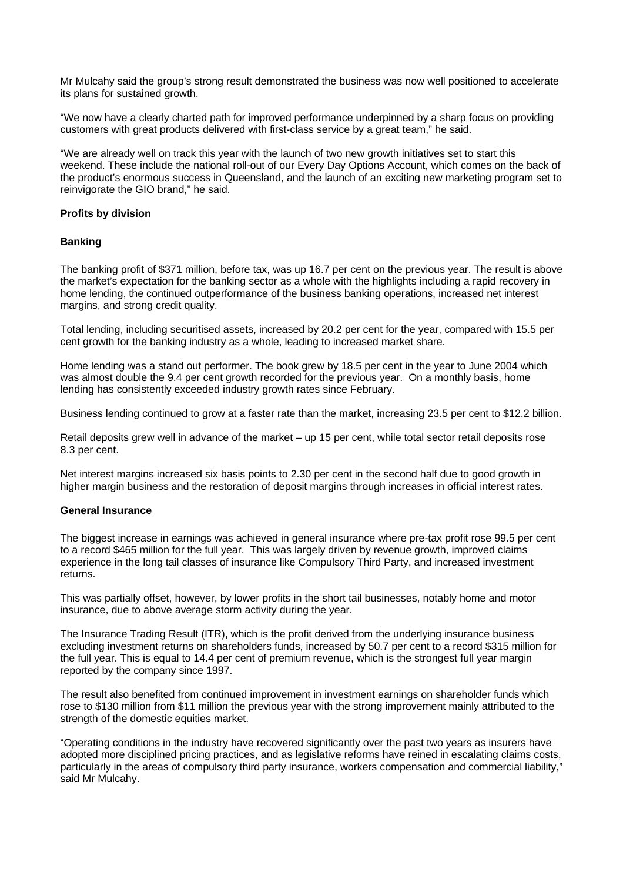Mr Mulcahy said the group's strong result demonstrated the business was now well positioned to accelerate its plans for sustained growth.

"We now have a clearly charted path for improved performance underpinned by a sharp focus on providing customers with great products delivered with first-class service by a great team," he said.

"We are already well on track this year with the launch of two new growth initiatives set to start this weekend. These include the national roll-out of our Every Day Options Account, which comes on the back of the product's enormous success in Queensland, and the launch of an exciting new marketing program set to reinvigorate the GIO brand," he said.

## **Profits by division**

## **Banking**

The banking profit of \$371 million, before tax, was up 16.7 per cent on the previous year. The result is above the market's expectation for the banking sector as a whole with the highlights including a rapid recovery in home lending, the continued outperformance of the business banking operations, increased net interest margins, and strong credit quality.

Total lending, including securitised assets, increased by 20.2 per cent for the year, compared with 15.5 per cent growth for the banking industry as a whole, leading to increased market share.

Home lending was a stand out performer. The book grew by 18.5 per cent in the year to June 2004 which was almost double the 9.4 per cent growth recorded for the previous year. On a monthly basis, home lending has consistently exceeded industry growth rates since February.

Business lending continued to grow at a faster rate than the market, increasing 23.5 per cent to \$12.2 billion.

Retail deposits grew well in advance of the market – up 15 per cent, while total sector retail deposits rose 8.3 per cent.

Net interest margins increased six basis points to 2.30 per cent in the second half due to good growth in higher margin business and the restoration of deposit margins through increases in official interest rates.

#### **General Insurance**

The biggest increase in earnings was achieved in general insurance where pre-tax profit rose 99.5 per cent to a record \$465 million for the full year. This was largely driven by revenue growth, improved claims experience in the long tail classes of insurance like Compulsory Third Party, and increased investment returns.

This was partially offset, however, by lower profits in the short tail businesses, notably home and motor insurance, due to above average storm activity during the year.

The Insurance Trading Result (ITR), which is the profit derived from the underlying insurance business excluding investment returns on shareholders funds, increased by 50.7 per cent to a record \$315 million for the full year. This is equal to 14.4 per cent of premium revenue, which is the strongest full year margin reported by the company since 1997.

The result also benefited from continued improvement in investment earnings on shareholder funds which rose to \$130 million from \$11 million the previous year with the strong improvement mainly attributed to the strength of the domestic equities market.

"Operating conditions in the industry have recovered significantly over the past two years as insurers have adopted more disciplined pricing practices, and as legislative reforms have reined in escalating claims costs, particularly in the areas of compulsory third party insurance, workers compensation and commercial liability," said Mr Mulcahy.